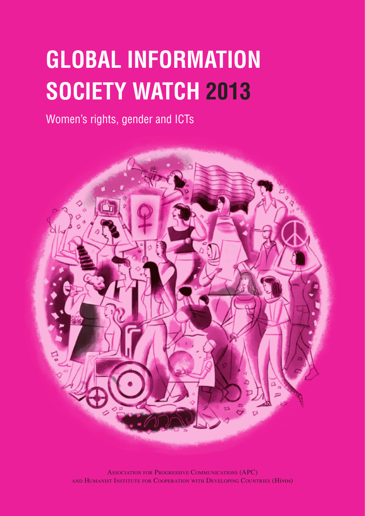# **Global Information Society Watch 2013**

Women's rights, gender and ICTs



Association for Progressive Communications (APC) and Humanist Institute for Cooperation with Developing Countries (Hivos)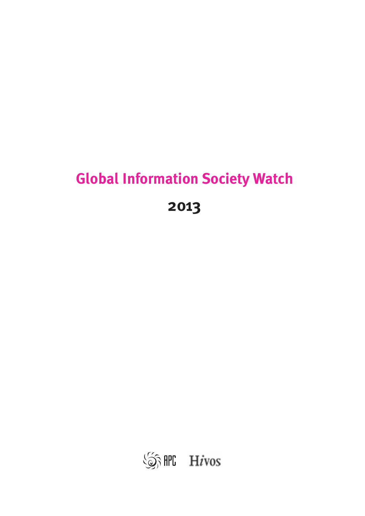## **Global Information Society Watch**

**2013**

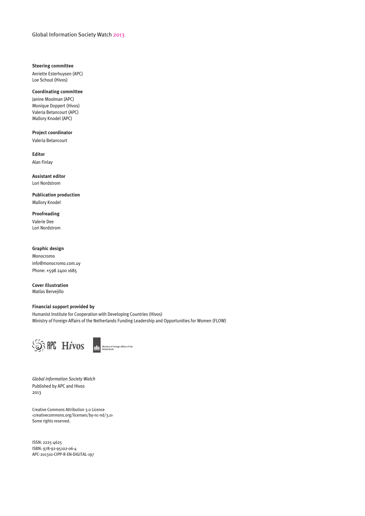#### **Steering committee**

Anriette Esterhuysen (APC) Loe Schout (Hivos)

#### **Coordinating committee**

Janine Moolman (APC) Monique Doppert (Hivos) Valeria Betancourt (APC) Mallory Knodel (APC)

#### **Project coordinator**

Valeria Betancourt

**Editor** Alan Finlay

**Assistant editor** Lori Nordstrom

**Publication production** Mallory Knodel

**Proofreading** Valerie Dee Lori Nordstrom

#### **Graphic design**

Monocromo info@monocromo.com.uy Phone: +598 2400 1685

**Cover illustration**  Matías Bervejillo

#### **Financial support provided by**

Humanist Institute for Cooperation with Developing Countries (Hivos) Ministry of Foreign Affairs of the Netherlands Funding Leadership and Opportunities for Women (FLOW)



*Global Information Society Watch*  Published by APC and Hivos 2013

Creative Commons Attribution 3.0 Licence ‹creativecommons.org/licenses/by-nc-nd/3.0› Some rights reserved.

ISSN: 2225-4625 ISBN: 978-92-95102-06-4 APC-201310-CIPP-R-EN-DIGITAL-197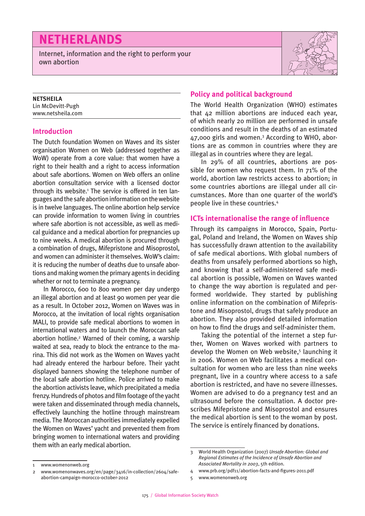### **Netherlands**

Internet, information and the right to perform your own abortion



#### **NETSHEILA**

Lin McDevitt-Pugh www.netsheila.com

#### **Introduction**

The Dutch foundation Women on Waves and its sister organisation Women on Web (addressed together as WoW) operate from a core value: that women have a right to their health and a right to access information about safe abortions. Women on Web offers an online abortion consultation service with a licensed doctor through its website.<sup>1</sup> The service is offered in ten languages and the safe abortion information on the website is in twelve languages. The online abortion help service can provide information to women living in countries where safe abortion is not accessible, as well as medical guidance and a medical abortion for pregnancies up to nine weeks. A medical abortion is procured through a combination of drugs, Mifepristone and Misoprostol, and women can administer it themselves. WoW's claim: it is reducing the number of deaths due to unsafe abortions and making women the primary agents in deciding whether or not to terminate a pregnancy.

In Morocco, 600 to 800 women per day undergo an illegal abortion and at least 90 women per year die as a result. In October 2012, Women on Waves was in Morocco, at the invitation of local rights organisation MALI, to provide safe medical abortions to women in international waters and to launch the Moroccan safe abortion hotline.<sup>2</sup> Warned of their coming, a warship waited at sea, ready to block the entrance to the marina. This did not work as the Women on Waves yacht had already entered the harbour before. Their yacht displayed banners showing the telephone number of the local safe abortion hotline. Police arrived to make the abortion activists leave, which precipitated a media frenzy. Hundreds of photos and film footage of the yacht were taken and disseminated through media channels, effectively launching the hotline through mainstream media. The Moroccan authorities immediately expelled the Women on Waves' yacht and prevented them from bringing women to international waters and providing them with an early medical abortion.

#### **Policy and political background**

The World Health Organization (WHO) estimates that 42 million abortions are induced each year, of which nearly 20 million are performed in unsafe conditions and result in the deaths of an estimated 47,000 girls and women.<sup>3</sup> According to WHO, abortions are as common in countries where they are illegal as in countries where they are legal.

In 29% of all countries, abortions are possible for women who request them. In 71% of the world, abortion law restricts access to abortion; in some countries abortions are illegal under all circumstances. More than one quarter of the world's people live in these countries.4

#### **ICTs internationalise the range of influence**

Through its campaigns in Morocco, Spain, Portugal, Poland and Ireland, the Women on Waves ship has successfully drawn attention to the availability of safe medical abortions. With global numbers of deaths from unsafely performed abortions so high, and knowing that a self-administered safe medical abortion is possible, Women on Waves wanted to change the way abortion is regulated and performed worldwide. They started by publishing online information on the combination of Mifepristone and Misoprostol, drugs that safely produce an abortion. They also provided detailed information on how to find the drugs and self-administer them.

Taking the potential of the internet a step further, Women on Waves worked with partners to develop the Women on Web website,<sup>5</sup> launching it in 2006. Women on Web facilitates a medical consultation for women who are less than nine weeks pregnant, live in a country where access to a safe abortion is restricted, and have no severe illnesses. Women are advised to do a pregnancy test and an ultrasound before the consultation. A doctor prescribes Mifepristone and Misoprostol and ensures the medical abortion is sent to the woman by post. The service is entirely financed by donations.

4 www.prb.org/pdf11/abortion-facts-and-figures-2011.pdf

<sup>3</sup> World Health Organization (2007) *Unsafe Abortion: Global and Regional Estimates of the Incidence of Unsafe Abortion and Associated Mortality in 2003*, 5th edition.

<sup>1</sup> www.womenonweb.org

<sup>2</sup> www.womenonwaves.org/en/page/3416/in-collection/2604/safeabortion-campaign-morocco-october-2012

<sup>5</sup> www.womenonweb.org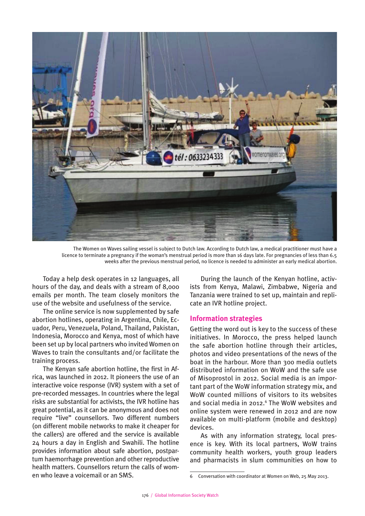

The Women on Waves sailing vessel is subject to Dutch law. According to Dutch law, a medical practitioner must have a licence to terminate a pregnancy if the woman's menstrual period is more than 16 days late. For pregnancies of less than 6.5 weeks after the previous menstrual period, no licence is needed to administer an early medical abortion.

Today a help desk operates in 12 languages, all hours of the day, and deals with a stream of 8,000 emails per month. The team closely monitors the use of the website and usefulness of the service.

The online service is now supplemented by safe abortion hotlines, operating in Argentina, Chile, Ecuador, Peru, Venezuela, Poland, Thailand, Pakistan, Indonesia, Morocco and Kenya, most of which have been set up by local partners who invited Women on Waves to train the consultants and/or facilitate the training process.

The Kenyan safe abortion hotline, the first in Africa, was launched in 2012. It pioneers the use of an interactive voice response (IVR) system with a set of pre-recorded messages. In countries where the legal risks are substantial for activists, the IVR hotline has great potential, as it can be anonymous and does not require "live" counsellors. Two different numbers (on different mobile networks to make it cheaper for the callers) are offered and the service is available 24 hours a day in English and Swahili. The hotline provides information about safe abortion, postpartum haemorrhage prevention and other reproductive health matters. Counsellors return the calls of women who leave a voicemail or an SMS.

During the launch of the Kenyan hotline, activists from Kenya, Malawi, Zimbabwe, Nigeria and Tanzania were trained to set up, maintain and replicate an IVR hotline project.

#### **Information strategies**

Getting the word out is key to the success of these initiatives. In Morocco, the press helped launch the safe abortion hotline through their articles, photos and video presentations of the news of the boat in the harbour. More than 300 media outlets distributed information on WoW and the safe use of Misoprostol in 2012. Social media is an important part of the WoW information strategy mix, and WoW counted millions of visitors to its websites and social media in 2012.<sup>6</sup> The WoW websites and online system were renewed in 2012 and are now available on multi-platform (mobile and desktop) devices.

As with any information strategy, local presence is key. With its local partners, WoW trains community health workers, youth group leaders and pharmacists in slum communities on how to

<sup>6</sup> Conversation with coordinator at Women on Web, 25 May 2013.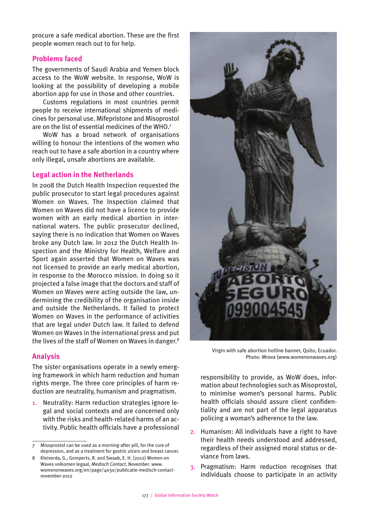procure a safe medical abortion. These are the first people women reach out to for help.

#### **Problems faced**

The governments of Saudi Arabia and Yemen block access to the WoW website. In response, WoW is looking at the possibility of developing a mobile abortion app for use in those and other countries.

Customs regulations in most countries permit people to receive international shipments of medicines for personal use. Mifepristone and Misoprostol are on the list of essential medicines of the WHO.7

WoW has a broad network of organisations willing to honour the intentions of the women who reach out to have a safe abortion in a country where only illegal, unsafe abortions are available.

#### **Legal action in the Netherlands**

In 2008 the Dutch Health Inspection requested the public prosecutor to start legal procedures against Women on Waves. The Inspection claimed that Women on Waves did not have a licence to provide women with an early medical abortion in international waters. The public prosecutor declined, saying there is no indication that Women on Waves broke any Dutch law. In 2012 the Dutch Health Inspection and the Ministry for Health, Welfare and Sport again asserted that Women on Waves was not licensed to provide an early medical abortion, in response to the Morocco mission. In doing so it projected a false image that the doctors and staff of Women on Waves were acting outside the law, undermining the credibility of the organisation inside and outside the Netherlands. It failed to protect Women on Waves in the performance of activities that are legal under Dutch law. It failed to defend Women on Waves in the international press and put the lives of the staff of Women on Waves in danger.8

#### **Analysis**

The sister organisations operate in a newly emerging framework in which harm reduction and human rights merge. The three core principles of harm reduction are neutrality, humanism and pragmatism.

1. Neutrality: Harm reduction strategies ignore legal and social contexts and are concerned only with the risks and health-related harms of an activity. Public health officials have a professional

![](_page_5_Picture_12.jpeg)

Virgin with safe abortion hotline banner, Quito, Ecuador. Photo: Mrova (www.womenonwaves.org)

responsibility to provide, as WoW does, information about technologies such as Misoprostol, to minimise women's personal harms. Public health officials should assure client confidentiality and are not part of the legal apparatus policing a woman's adherence to the law.

- 2. Humanism: All individuals have a right to have their health needs understood and addressed, regardless of their assigned moral status or deviance from laws.
- 3. Pragmatism: Harm reduction recognises that individuals choose to participate in an activity

Misoprostol can be used as a morning-after pill, for the cure of depression, and as a treatment for gastric ulcers and breast cancer.

<sup>8</sup> Kleiverda, G., Gomperts, R. and Swaab, E. H. (2012) Women on Waves volkomen legaal, *Medisch Contact*, November. www. womenonwaves.org/en/page/4030/publicatie-medisch-contactnovember-2012